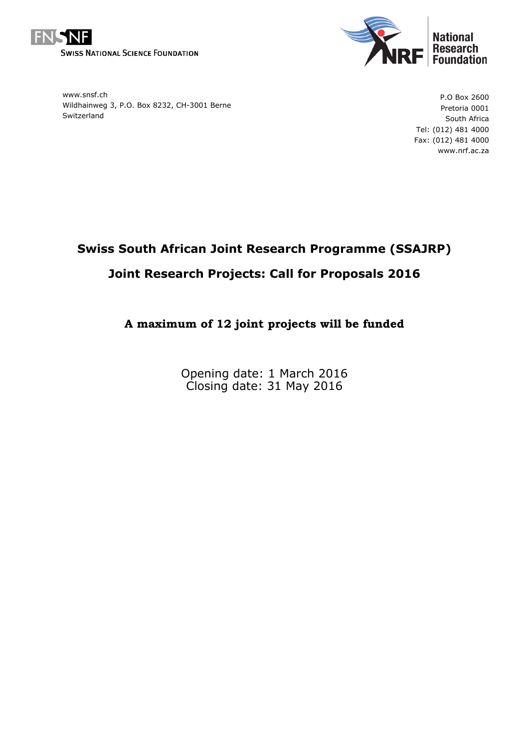



www.snsf.ch Wildhainweg 3, P.O. Box 8232, CH-3001 Berne Switzerland

P.O Box 2600 Pretoria 0001 South Africa Tel: (012) 481 4000 Fax: (012) 481 4000 www.nrf.ac.za

# **Swiss South African Joint Research Programme (SSAJRP) Joint Research Projects: Call for Proposals 2016**

# **A maximum of 12 joint projects will be funded**

Opening date: 1 March 2016 Closing date: 31 May 2016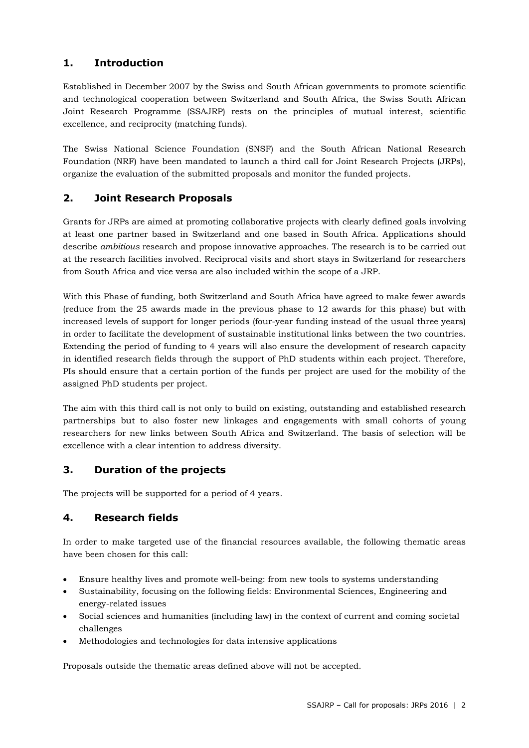# **1. Introduction**

Established in December 2007 by the Swiss and South African governments to promote scientific and technological cooperation between Switzerland and South Africa, the Swiss South African Joint Research Programme (SSAJRP) rests on the principles of mutual interest, scientific excellence, and reciprocity (matching funds).

The Swiss National Science Foundation (SNSF) and the South African National Research Foundation (NRF) have been mandated to launch a third call for Joint Research Projects (JRPs), organize the evaluation of the submitted proposals and monitor the funded projects.

# **2. Joint Research Proposals**

Grants for JRPs are aimed at promoting collaborative projects with clearly defined goals involving at least one partner based in Switzerland and one based in South Africa. Applications should describe *ambitious* research and propose innovative approaches. The research is to be carried out at the research facilities involved. Reciprocal visits and short stays in Switzerland for researchers from South Africa and vice versa are also included within the scope of a JRP.

With this Phase of funding, both Switzerland and South Africa have agreed to make fewer awards (reduce from the 25 awards made in the previous phase to 12 awards for this phase) but with increased levels of support for longer periods (four-year funding instead of the usual three years) in order to facilitate the development of sustainable institutional links between the two countries. Extending the period of funding to 4 years will also ensure the development of research capacity in identified research fields through the support of PhD students within each project. Therefore, PIs should ensure that a certain portion of the funds per project are used for the mobility of the assigned PhD students per project.

The aim with this third call is not only to build on existing, outstanding and established research partnerships but to also foster new linkages and engagements with small cohorts of young researchers for new links between South Africa and Switzerland. The basis of selection will be excellence with a clear intention to address diversity.

### **3. Duration of the projects**

The projects will be supported for a period of 4 years.

### **4. Research fields**

In order to make targeted use of the financial resources available, the following thematic areas have been chosen for this call:

- Ensure healthy lives and promote well-being: from new tools to systems understanding
- Sustainability, focusing on the following fields: Environmental Sciences, Engineering and energy-related issues
- Social sciences and humanities (including law) in the context of current and coming societal challenges
- Methodologies and technologies for data intensive applications

Proposals outside the thematic areas defined above will not be accepted.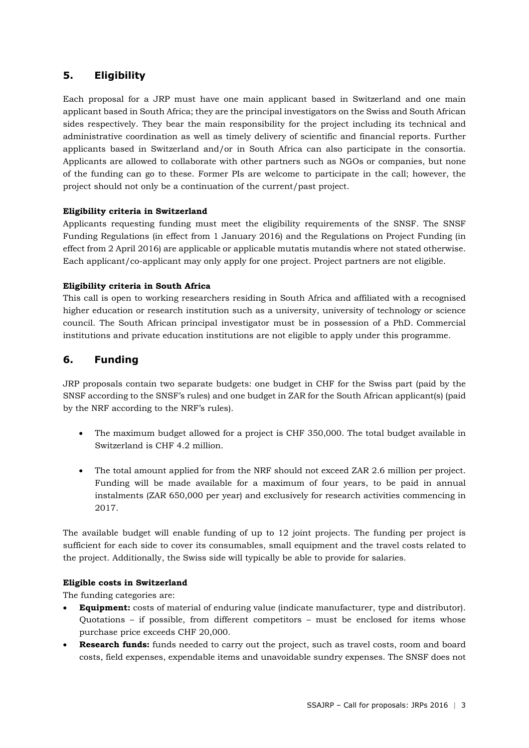# **5. Eligibility**

Each proposal for a JRP must have one main applicant based in Switzerland and one main applicant based in South Africa; they are the principal investigators on the Swiss and South African sides respectively. They bear the main responsibility for the project including its technical and administrative coordination as well as timely delivery of scientific and financial reports. Further applicants based in Switzerland and/or in South Africa can also participate in the consortia. Applicants are allowed to collaborate with other partners such as NGOs or companies, but none of the funding can go to these. Former PIs are welcome to participate in the call; however, the project should not only be a continuation of the current/past project.

#### **Eligibility criteria in Switzerland**

Applicants requesting funding must meet the eligibility requirements of the SNSF. The SNSF Funding Regulations (in effect from 1 January 2016) and the Regulations on Project Funding (in effect from 2 April 2016) are applicable or applicable mutatis mutandis where not stated otherwise. Each applicant/co-applicant may only apply for one project. Project partners are not eligible.

#### **Eligibility criteria in South Africa**

This call is open to working researchers residing in South Africa and affiliated with a recognised higher education or research institution such as a university, university of technology or science council. The South African principal investigator must be in possession of a PhD. Commercial institutions and private education institutions are not eligible to apply under this programme.

# **6. Funding**

JRP proposals contain two separate budgets: one budget in CHF for the Swiss part (paid by the SNSF according to the SNSF's rules) and one budget in ZAR for the South African applicant(s) (paid by the NRF according to the NRF's rules).

- The maximum budget allowed for a project is CHF 350,000. The total budget available in Switzerland is CHF 4.2 million.
- The total amount applied for from the NRF should not exceed ZAR 2.6 million per project. Funding will be made available for a maximum of four years, to be paid in annual instalments (ZAR 650,000 per year) and exclusively for research activities commencing in 2017.

The available budget will enable funding of up to 12 joint projects. The funding per project is sufficient for each side to cover its consumables, small equipment and the travel costs related to the project. Additionally, the Swiss side will typically be able to provide for salaries.

#### **Eligible costs in Switzerland**

The funding categories are:

- **Equipment:** costs of material of enduring value (indicate manufacturer, type and distributor). Quotations – if possible, from different competitors – must be enclosed for items whose purchase price exceeds CHF 20,000.
- **Research funds:** funds needed to carry out the project, such as travel costs, room and board costs, field expenses, expendable items and unavoidable sundry expenses. The SNSF does not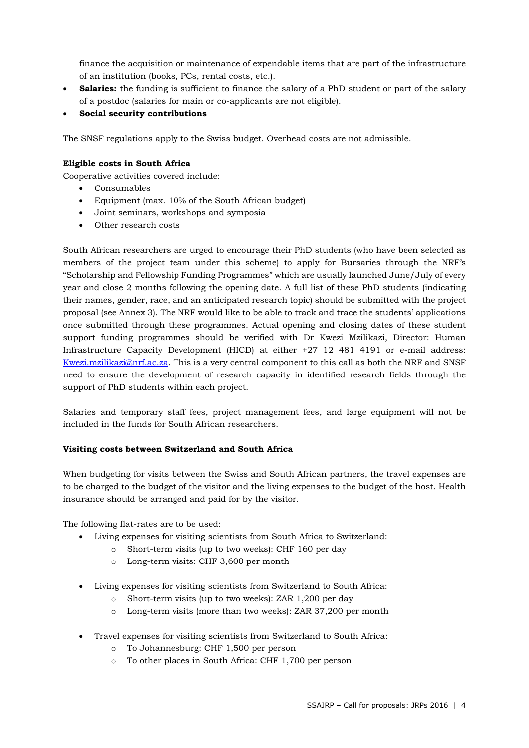finance the acquisition or maintenance of expendable items that are part of the infrastructure of an institution (books, PCs, rental costs, etc.).

- **Salaries:** the funding is sufficient to finance the salary of a PhD student or part of the salary of a postdoc (salaries for main or co-applicants are not eligible).
- **Social security contributions**

The SNSF regulations apply to the Swiss budget. Overhead costs are not admissible.

#### **Eligible costs in South Africa**

Cooperative activities covered include:

- Consumables
- Equipment (max. 10% of the South African budget)
- Joint seminars, workshops and symposia
- Other research costs

South African researchers are urged to encourage their PhD students (who have been selected as members of the project team under this scheme) to apply for Bursaries through the NRF's "Scholarship and Fellowship Funding Programmes" which are usually launched June/July of every year and close 2 months following the opening date. A full list of these PhD students (indicating their names, gender, race, and an anticipated research topic) should be submitted with the project proposal (see Annex 3). The NRF would like to be able to track and trace the students' applications once submitted through these programmes. Actual opening and closing dates of these student support funding programmes should be verified with Dr Kwezi Mzilikazi, Director: Human Infrastructure Capacity Development (HICD) at either +27 12 481 4191 or e-mail address: [Kwezi.mzilikazi@nrf.ac.za](mailto:Kwezi.mzilikazi@nrf.ac.za). This is a very central component to this call as both the NRF and SNSF need to ensure the development of research capacity in identified research fields through the support of PhD students within each project.

Salaries and temporary staff fees, project management fees, and large equipment will not be included in the funds for South African researchers.

#### **Visiting costs between Switzerland and South Africa**

When budgeting for visits between the Swiss and South African partners, the travel expenses are to be charged to the budget of the visitor and the living expenses to the budget of the host. Health insurance should be arranged and paid for by the visitor.

The following flat-rates are to be used:

- Living expenses for visiting scientists from South Africa to Switzerland:
	- o Short-term visits (up to two weeks): CHF 160 per day
	- o Long-term visits: CHF 3,600 per month
- Living expenses for visiting scientists from Switzerland to South Africa:
	- o Short-term visits (up to two weeks): ZAR 1,200 per day
	- o Long-term visits (more than two weeks): ZAR 37,200 per month
- Travel expenses for visiting scientists from Switzerland to South Africa:
	- o To Johannesburg: CHF 1,500 per person
	- o To other places in South Africa: CHF 1,700 per person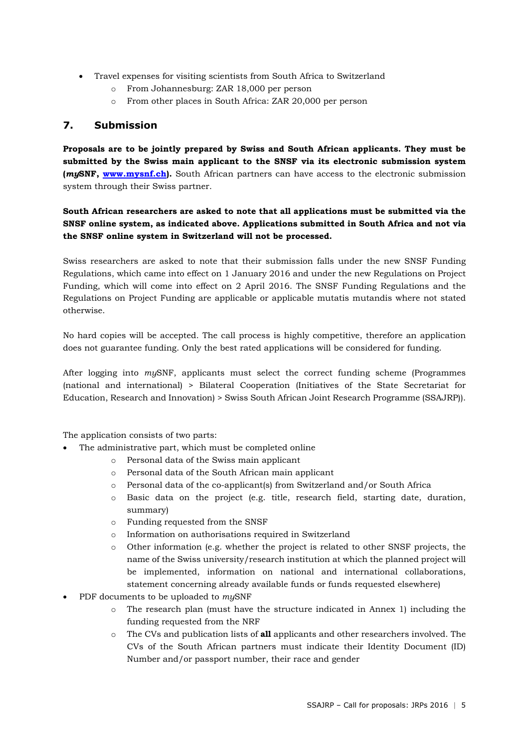- Travel expenses for visiting scientists from South Africa to Switzerland
	- o From Johannesburg: ZAR 18,000 per person
	- o From other places in South Africa: ZAR 20,000 per person

### **7. Submission**

**Proposals are to be jointly prepared by Swiss and South African applicants. They must be submitted by the Swiss main applicant to the SNSF via its electronic submission system (***my***SNF, [www.mysnf.ch\)](http://www.mysnf.ch/).** South African partners can have access to the electronic submission system through their Swiss partner.

### **South African researchers are asked to note that all applications must be submitted via the SNSF online system, as indicated above. Applications submitted in South Africa and not via the SNSF online system in Switzerland will not be processed.**

Swiss researchers are asked to note that their submission falls under the new SNSF Funding Regulations, which came into effect on 1 January 2016 and under the new Regulations on Project Funding, which will come into effect on 2 April 2016. The SNSF Funding Regulations and the Regulations on Project Funding are applicable or applicable mutatis mutandis where not stated otherwise.

No hard copies will be accepted. The call process is highly competitive, therefore an application does not guarantee funding. Only the best rated applications will be considered for funding.

After logging into *my*SNF, applicants must select the correct funding scheme (Programmes (national and international) > Bilateral Cooperation (Initiatives of the State Secretariat for Education, Research and Innovation) > Swiss South African Joint Research Programme (SSAJRP)).

The application consists of two parts:

- The administrative part, which must be completed online
	- o Personal data of the Swiss main applicant
	- o Personal data of the South African main applicant
	- o Personal data of the co-applicant(s) from Switzerland and/or South Africa
	- o Basic data on the project (e.g. title, research field, starting date, duration, summary)
	- o Funding requested from the SNSF
	- o Information on authorisations required in Switzerland
	- o Other information (e.g. whether the project is related to other SNSF projects, the name of the Swiss university/research institution at which the planned project will be implemented, information on national and international collaborations, statement concerning already available funds or funds requested elsewhere)
- PDF documents to be uploaded to *my*SNF
	- o The research plan (must have the structure indicated in Annex 1) including the funding requested from the NRF
	- o The CVs and publication lists of **all** applicants and other researchers involved. The CVs of the South African partners must indicate their Identity Document (ID) Number and/or passport number, their race and gender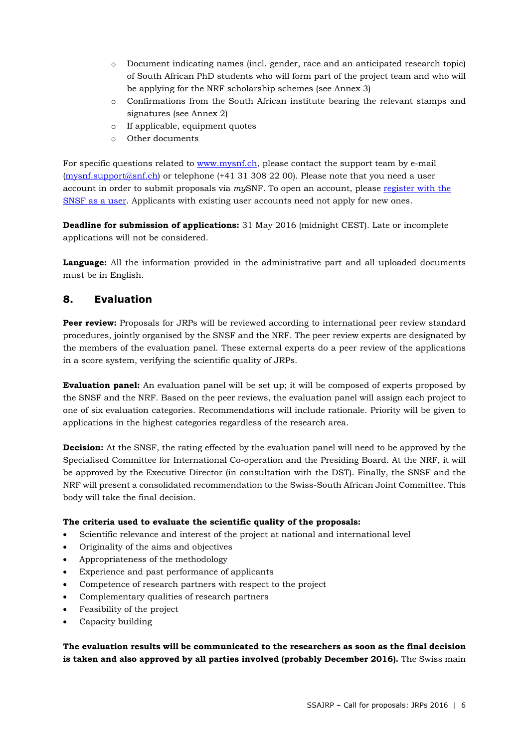- o Document indicating names (incl. gender, race and an anticipated research topic) of South African PhD students who will form part of the project team and who will be applying for the NRF scholarship schemes (see Annex 3)
- o Confirmations from the South African institute bearing the relevant stamps and signatures (see Annex 2)
- o If applicable, equipment quotes
- o Other documents

For specific questions related to [www.mysnf.ch,](http://www.mysnf.ch/) please contact the support team by e-mail ([mysnf.support@snf.ch\)](mailto:mysnf.support@snf.ch) or telephone (+41 31 308 22 00). Please note that you need a user account in order to submit proposals via *my*SNF. To open an account, please [register](https://www.mysnf.ch/newuser.aspx) with the [SNSF](https://www.mysnf.ch/newuser.aspx) as a user. Applicants with existing user accounts need not apply for new ones.

**Deadline for submission of applications:** 31 May 2016 (midnight CEST). Late or incomplete applications will not be considered.

**Language:** All the information provided in the administrative part and all uploaded documents must be in English.

### **8. Evaluation**

**Peer review:** Proposals for JRPs will be reviewed according to international peer review standard procedures, jointly organised by the SNSF and the NRF. The peer review experts are designated by the members of the evaluation panel. These external experts do a peer review of the applications in a score system, verifying the scientific quality of JRPs.

**Evaluation panel:** An evaluation panel will be set up; it will be composed of experts proposed by the SNSF and the NRF. Based on the peer reviews, the evaluation panel will assign each project to one of six evaluation categories. Recommendations will include rationale. Priority will be given to applications in the highest categories regardless of the research area.

**Decision:** At the SNSF, the rating effected by the evaluation panel will need to be approved by the Specialised Committee for International Co-operation and the Presiding Board. At the NRF, it will be approved by the Executive Director (in consultation with the DST). Finally, the SNSF and the NRF will present a consolidated recommendation to the Swiss-South African Joint Committee. This body will take the final decision.

#### **The criteria used to evaluate the scientific quality of the proposals:**

- Scientific relevance and interest of the project at national and international level
- Originality of the aims and objectives
- Appropriateness of the methodology
- Experience and past performance of applicants
- Competence of research partners with respect to the project
- Complementary qualities of research partners
- Feasibility of the project
- Capacity building

**The evaluation results will be communicated to the researchers as soon as the final decision is taken and also approved by all parties involved (probably December 2016).** The Swiss main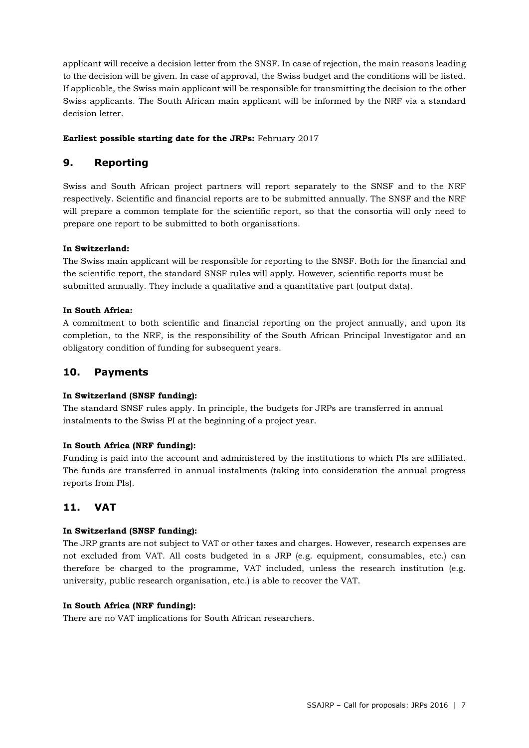applicant will receive a decision letter from the SNSF. In case of rejection, the main reasons leading to the decision will be given. In case of approval, the Swiss budget and the conditions will be listed. If applicable, the Swiss main applicant will be responsible for transmitting the decision to the other Swiss applicants. The South African main applicant will be informed by the NRF via a standard decision letter.

#### **Earliest possible starting date for the JRPs:** February 2017

### **9. Reporting**

Swiss and South African project partners will report separately to the SNSF and to the NRF respectively. Scientific and financial reports are to be submitted annually. The SNSF and the NRF will prepare a common template for the scientific report, so that the consortia will only need to prepare one report to be submitted to both organisations.

#### **In Switzerland:**

The Swiss main applicant will be responsible for reporting to the SNSF. Both for the financial and the scientific report, the standard SNSF rules will apply. However, scientific reports must be submitted annually. They include a qualitative and a quantitative part (output data).

#### **In South Africa:**

A commitment to both scientific and financial reporting on the project annually, and upon its completion, to the NRF, is the responsibility of the South African Principal Investigator and an obligatory condition of funding for subsequent years.

### **10. Payments**

#### **In Switzerland (SNSF funding):**

The standard SNSF rules apply. In principle, the budgets for JRPs are transferred in annual instalments to the Swiss PI at the beginning of a project year.

#### **In South Africa (NRF funding):**

Funding is paid into the account and administered by the institutions to which PIs are affiliated. The funds are transferred in annual instalments (taking into consideration the annual progress reports from PIs).

# **11. VAT**

#### **In Switzerland (SNSF funding):**

The JRP grants are not subject to VAT or other taxes and charges. However, research expenses are not excluded from VAT. All costs budgeted in a JRP (e.g. equipment, consumables, etc.) can therefore be charged to the programme, VAT included, unless the research institution (e.g. university, public research organisation, etc.) is able to recover the VAT.

#### **In South Africa (NRF funding):**

There are no VAT implications for South African researchers.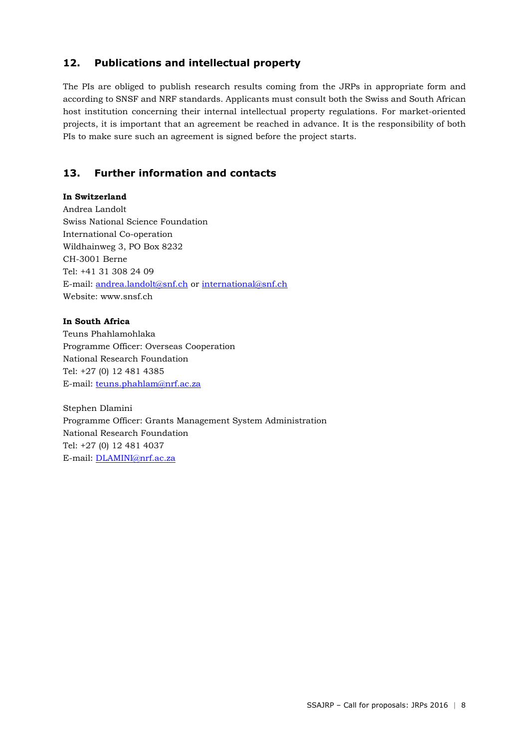# **12. Publications and intellectual property**

The PIs are obliged to publish research results coming from the JRPs in appropriate form and according to SNSF and NRF standards. Applicants must consult both the Swiss and South African host institution concerning their internal intellectual property regulations. For market-oriented projects, it is important that an agreement be reached in advance. It is the responsibility of both PIs to make sure such an agreement is signed before the project starts.

# **13. Further information and contacts**

#### **In Switzerland**

Andrea Landolt Swiss National Science Foundation International Co-operation Wildhainweg 3, PO Box 8232 CH-3001 Berne Tel: +41 31 308 24 09 E-mail: [andrea.landolt@snf.ch](mailto:andrea.landolt@snf.ch) or [international@snf.ch](mailto:international@snf.ch) Website: www.snsf.ch

#### **In South Africa**

Teuns Phahlamohlaka Programme Officer: Overseas Cooperation National Research Foundation Tel: +27 (0) 12 481 4385 E-mail: [teuns.phahlam@nrf.ac.za](mailto:teuns.phahlam@nrf.ac.za)

Stephen Dlamini Programme Officer: Grants Management System Administration National Research Foundation Tel: +27 (0) 12 481 4037 E-mail: [DLAMINI@nrf.ac.za](mailto:DLAMINI@nrf.ac.za)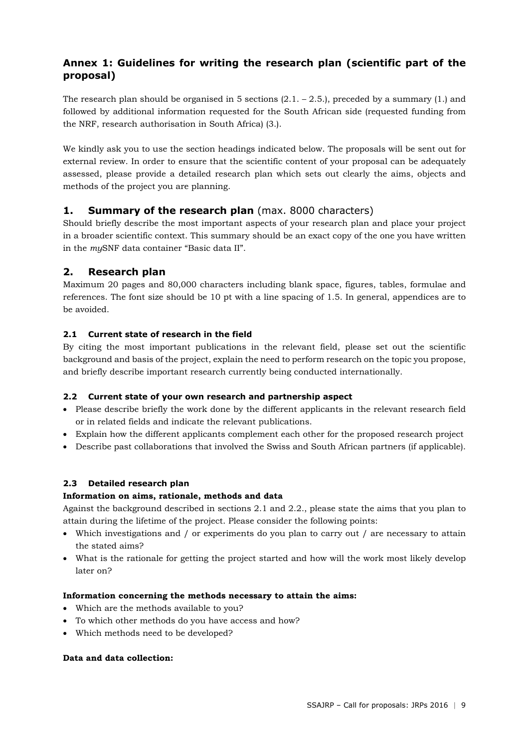# **Annex 1: Guidelines for writing the research plan (scientific part of the proposal)**

The research plan should be organised in 5 sections  $(2.1 - 2.5)$ , preceded by a summary  $(1.)$  and followed by additional information requested for the South African side (requested funding from the NRF, research authorisation in South Africa) (3.).

We kindly ask you to use the section headings indicated below. The proposals will be sent out for external review. In order to ensure that the scientific content of your proposal can be adequately assessed, please provide a detailed research plan which sets out clearly the aims, objects and methods of the project you are planning.

### **1. Summary of the research plan** (max. 8000 characters)

Should briefly describe the most important aspects of your research plan and place your project in a broader scientific context. This summary should be an exact copy of the one you have written in the *my*SNF data container "Basic data II".

### **2. Research plan**

Maximum 20 pages and 80,000 characters including blank space, figures, tables, formulae and references. The font size should be 10 pt with a line spacing of 1.5. In general, appendices are to be avoided.

#### **2.1 Current state of research in the field**

By citing the most important publications in the relevant field, please set out the scientific background and basis of the project, explain the need to perform research on the topic you propose, and briefly describe important research currently being conducted internationally.

#### **2.2 Current state of your own research and partnership aspect**

- Please describe briefly the work done by the different applicants in the relevant research field or in related fields and indicate the relevant publications.
- Explain how the different applicants complement each other for the proposed research project
- Describe past collaborations that involved the Swiss and South African partners (if applicable).

### **2.3 Detailed research plan**

#### **Information on aims, rationale, methods and data**

Against the background described in sections 2.1 and 2.2., please state the aims that you plan to attain during the lifetime of the project. Please consider the following points:

- Which investigations and / or experiments do you plan to carry out / are necessary to attain the stated aims?
- What is the rationale for getting the project started and how will the work most likely develop later on?

#### **Information concerning the methods necessary to attain the aims:**

- Which are the methods available to you?
- To which other methods do you have access and how?
- Which methods need to be developed?

#### **Data and data collection:**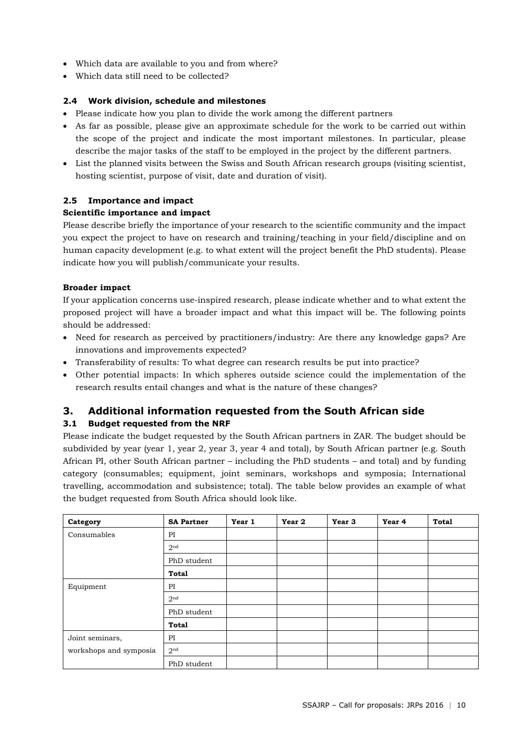- Which data are available to you and from where?
- Which data still need to be collected?

#### **2.4 Work division, schedule and milestones**

- Please indicate how you plan to divide the work among the different partners
- As far as possible, please give an approximate schedule for the work to be carried out within the scope of the project and indicate the most important milestones. In particular, please describe the major tasks of the staff to be employed in the project by the different partners.
- List the planned visits between the Swiss and South African research groups (visiting scientist, hosting scientist, purpose of visit, date and duration of visit).

#### **2.5 Importance and impact**

#### **Scientific importance and impact**

Please describe briefly the importance of your research to the scientific community and the impact you expect the project to have on research and training/teaching in your field/discipline and on human capacity development (e.g. to what extent will the project benefit the PhD students). Please indicate how you will publish/communicate your results.

#### **Broader impact**

If your application concerns use-inspired research, please indicate whether and to what extent the proposed project will have a broader impact and what this impact will be. The following points should be addressed:

- Need for research as perceived by practitioners/industry: Are there any knowledge gaps? Are innovations and improvements expected?
- Transferability of results: To what degree can research results be put into practice?
- Other potential impacts: In which spheres outside science could the implementation of the research results entail changes and what is the nature of these changes?

# **3. Additional information requested from the South African side**

### **3.1 Budget requested from the NRF**

Please indicate the budget requested by the South African partners in ZAR. The budget should be subdivided by year (year 1, year 2, year 3, year 4 and total), by South African partner (e.g. South African PI, other South African partner – including the PhD students – and total) and by funding category (consumables; equipment, joint seminars, workshops and symposia; International travelling, accommodation and subsistence; total). The table below provides an example of what the budget requested from South Africa should look like.

| Category               | <b>SA Partner</b> | Year 1 | Year 2 | Year 3 | Year 4 | <b>Total</b> |
|------------------------|-------------------|--------|--------|--------|--------|--------------|
| Consumables            | PI                |        |        |        |        |              |
|                        | 2 <sup>nd</sup>   |        |        |        |        |              |
|                        | PhD student       |        |        |        |        |              |
|                        | <b>Total</b>      |        |        |        |        |              |
| Equipment              | PI                |        |        |        |        |              |
|                        | 2 <sup>nd</sup>   |        |        |        |        |              |
|                        | PhD student       |        |        |        |        |              |
|                        | <b>Total</b>      |        |        |        |        |              |
| Joint seminars,        | PI                |        |        |        |        |              |
| workshops and symposia | 2 <sup>nd</sup>   |        |        |        |        |              |
|                        | PhD student       |        |        |        |        |              |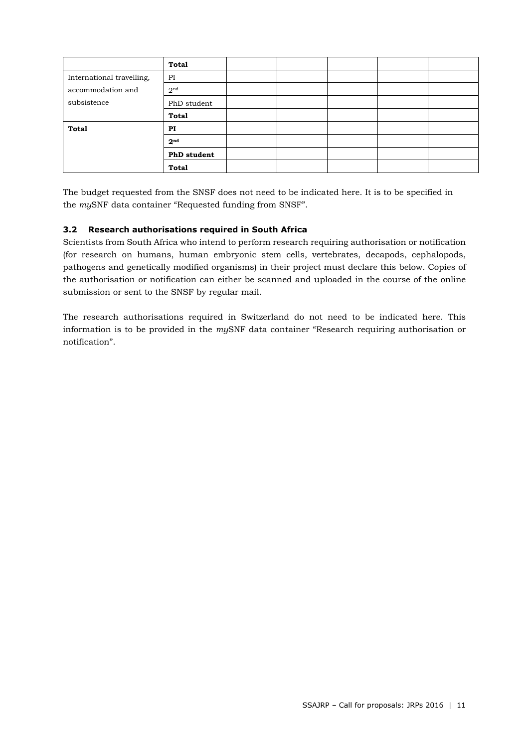|                           | <b>Total</b>       |  |  |  |
|---------------------------|--------------------|--|--|--|
| International travelling, | PI                 |  |  |  |
| accommodation and         | 2 <sup>nd</sup>    |  |  |  |
| subsistence               | PhD student        |  |  |  |
|                           | Total              |  |  |  |
| <b>Total</b>              | PI                 |  |  |  |
|                           | 2 <sup>nd</sup>    |  |  |  |
|                           | <b>PhD</b> student |  |  |  |
|                           | <b>Total</b>       |  |  |  |

The budget requested from the SNSF does not need to be indicated here. It is to be specified in the *my*SNF data container "Requested funding from SNSF".

#### **3.2 Research authorisations required in South Africa**

Scientists from South Africa who intend to perform research requiring authorisation or notification (for research on humans, human embryonic stem cells, vertebrates, decapods, cephalopods, pathogens and genetically modified organisms) in their project must declare this below. Copies of the authorisation or notification can either be scanned and uploaded in the course of the online submission or sent to the SNSF by regular mail.

The research authorisations required in Switzerland do not need to be indicated here. This information is to be provided in the *my*SNF data container "Research requiring authorisation or notification".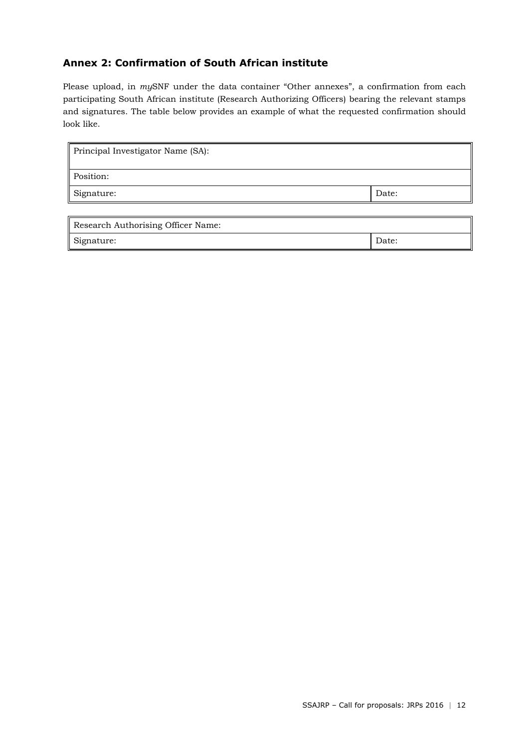# **Annex 2: Confirmation of South African institute**

Please upload, in *my*SNF under the data container "Other annexes", a confirmation from each participating South African institute (Research Authorizing Officers) bearing the relevant stamps and signatures. The table below provides an example of what the requested confirmation should look like.

| Principal Investigator Name (SA): |       |  |  |
|-----------------------------------|-------|--|--|
| Position:                         |       |  |  |
| Signature:                        | Date: |  |  |

| Research Authorising Officer Name: |       |  |  |
|------------------------------------|-------|--|--|
| Signature:                         | Date: |  |  |